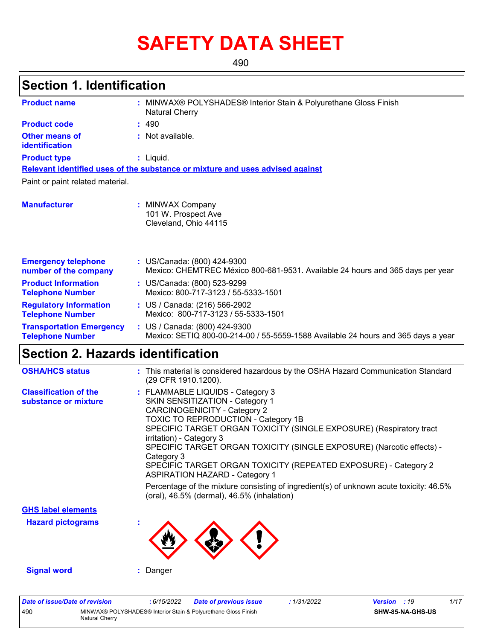# **SAFETY DATA SHEET**

490

### **Section 1. Identification**

| <b>Product name</b>                                        | : MINWAX® POLYSHADES® Interior Stain & Polyurethane Gloss Finish<br>Natural Cherry                                 |
|------------------------------------------------------------|--------------------------------------------------------------------------------------------------------------------|
| <b>Product code</b>                                        | : 490                                                                                                              |
| <b>Other means of</b><br>identification                    | : Not available.                                                                                                   |
| <b>Product type</b>                                        | : Liquid.                                                                                                          |
|                                                            | Relevant identified uses of the substance or mixture and uses advised against                                      |
| Paint or paint related material.                           |                                                                                                                    |
| <b>Manufacturer</b>                                        | <b>MINWAX Company</b><br>101 W. Prospect Ave<br>Cleveland, Ohio 44115                                              |
| <b>Emergency telephone</b><br>number of the company        | : US/Canada: (800) 424-9300<br>Mexico: CHEMTREC México 800-681-9531. Available 24 hours and 365 days per year      |
| <b>Product Information</b><br><b>Telephone Number</b>      | : US/Canada: (800) 523-9299<br>Mexico: 800-717-3123 / 55-5333-1501                                                 |
| <b>Regulatory Information</b><br><b>Telephone Number</b>   | : US / Canada: (216) 566-2902<br>Mexico: 800-717-3123 / 55-5333-1501                                               |
| <b>Transportation Emergency</b><br><b>Telephone Number</b> | : US / Canada: (800) 424-9300<br>Mexico: SETIQ 800-00-214-00 / 55-5559-1588 Available 24 hours and 365 days a year |

## **Section 2. Hazards identification**

| <b>OSHA/HCS status</b>                               | : This material is considered hazardous by the OSHA Hazard Communication Standard<br>(29 CFR 1910.1200).                                                                                                                                                                                                                                                                                                                                                                                                                                                                                               |  |
|------------------------------------------------------|--------------------------------------------------------------------------------------------------------------------------------------------------------------------------------------------------------------------------------------------------------------------------------------------------------------------------------------------------------------------------------------------------------------------------------------------------------------------------------------------------------------------------------------------------------------------------------------------------------|--|
| <b>Classification of the</b><br>substance or mixture | : FLAMMABLE LIQUIDS - Category 3<br><b>SKIN SENSITIZATION - Category 1</b><br><b>CARCINOGENICITY - Category 2</b><br>TOXIC TO REPRODUCTION - Category 1B<br>SPECIFIC TARGET ORGAN TOXICITY (SINGLE EXPOSURE) (Respiratory tract<br>irritation) - Category 3<br>SPECIFIC TARGET ORGAN TOXICITY (SINGLE EXPOSURE) (Narcotic effects) -<br>Category 3<br>SPECIFIC TARGET ORGAN TOXICITY (REPEATED EXPOSURE) - Category 2<br><b>ASPIRATION HAZARD - Category 1</b><br>Percentage of the mixture consisting of ingredient(s) of unknown acute toxicity: 46.5%<br>(oral), 46.5% (dermal), 46.5% (inhalation) |  |
| <b>GHS label elements</b>                            |                                                                                                                                                                                                                                                                                                                                                                                                                                                                                                                                                                                                        |  |
| <b>Hazard pictograms</b>                             |                                                                                                                                                                                                                                                                                                                                                                                                                                                                                                                                                                                                        |  |
| <b>Signal word</b>                                   | Danger                                                                                                                                                                                                                                                                                                                                                                                                                                                                                                                                                                                                 |  |

| Date of issue/Date of revision |                | : 6/15/2022 | <b>Date of previous issue</b>                                  | : 1/31/2022 | <b>Version</b> : 19 |                         | 1/17 |
|--------------------------------|----------------|-------------|----------------------------------------------------------------|-------------|---------------------|-------------------------|------|
| 490                            | Natural Cherry |             | MINWAX® POLYSHADES® Interior Stain & Polyurethane Gloss Finish |             |                     | <b>SHW-85-NA-GHS-US</b> |      |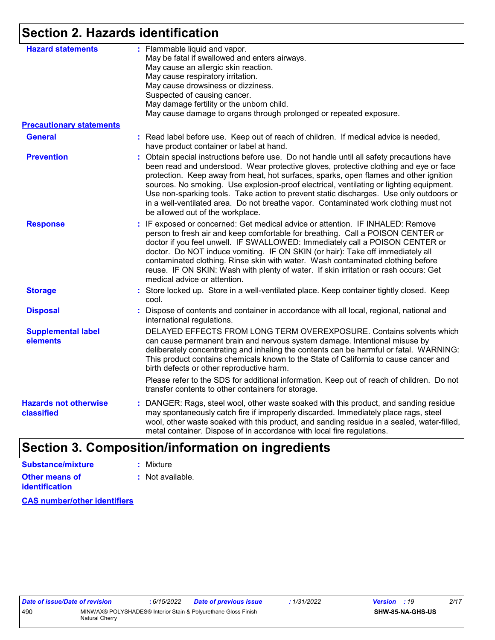### **Section 2. Hazards identification**

| <b>Hazard statements</b>                   | : Flammable liquid and vapor.<br>May be fatal if swallowed and enters airways.<br>May cause an allergic skin reaction.<br>May cause respiratory irritation.<br>May cause drowsiness or dizziness.<br>Suspected of causing cancer.<br>May damage fertility or the unborn child.<br>May cause damage to organs through prolonged or repeated exposure.                                                                                                                                                                                                                                         |
|--------------------------------------------|----------------------------------------------------------------------------------------------------------------------------------------------------------------------------------------------------------------------------------------------------------------------------------------------------------------------------------------------------------------------------------------------------------------------------------------------------------------------------------------------------------------------------------------------------------------------------------------------|
| <b>Precautionary statements</b>            |                                                                                                                                                                                                                                                                                                                                                                                                                                                                                                                                                                                              |
| <b>General</b>                             | : Read label before use. Keep out of reach of children. If medical advice is needed,<br>have product container or label at hand.                                                                                                                                                                                                                                                                                                                                                                                                                                                             |
| <b>Prevention</b>                          | : Obtain special instructions before use. Do not handle until all safety precautions have<br>been read and understood. Wear protective gloves, protective clothing and eye or face<br>protection. Keep away from heat, hot surfaces, sparks, open flames and other ignition<br>sources. No smoking. Use explosion-proof electrical, ventilating or lighting equipment.<br>Use non-sparking tools. Take action to prevent static discharges. Use only outdoors or<br>in a well-ventilated area. Do not breathe vapor. Contaminated work clothing must not<br>be allowed out of the workplace. |
| <b>Response</b>                            | : IF exposed or concerned: Get medical advice or attention. IF INHALED: Remove<br>person to fresh air and keep comfortable for breathing. Call a POISON CENTER or<br>doctor if you feel unwell. IF SWALLOWED: Immediately call a POISON CENTER or<br>doctor. Do NOT induce vomiting. IF ON SKIN (or hair): Take off immediately all<br>contaminated clothing. Rinse skin with water. Wash contaminated clothing before<br>reuse. IF ON SKIN: Wash with plenty of water. If skin irritation or rash occurs: Get<br>medical advice or attention.                                               |
| <b>Storage</b>                             | : Store locked up. Store in a well-ventilated place. Keep container tightly closed. Keep<br>cool.                                                                                                                                                                                                                                                                                                                                                                                                                                                                                            |
| <b>Disposal</b>                            | : Dispose of contents and container in accordance with all local, regional, national and<br>international regulations.                                                                                                                                                                                                                                                                                                                                                                                                                                                                       |
| <b>Supplemental label</b><br>elements      | DELAYED EFFECTS FROM LONG TERM OVEREXPOSURE. Contains solvents which<br>can cause permanent brain and nervous system damage. Intentional misuse by<br>deliberately concentrating and inhaling the contents can be harmful or fatal. WARNING:<br>This product contains chemicals known to the State of California to cause cancer and<br>birth defects or other reproductive harm.                                                                                                                                                                                                            |
|                                            | Please refer to the SDS for additional information. Keep out of reach of children. Do not<br>transfer contents to other containers for storage.                                                                                                                                                                                                                                                                                                                                                                                                                                              |
| <b>Hazards not otherwise</b><br>classified | : DANGER: Rags, steel wool, other waste soaked with this product, and sanding residue<br>may spontaneously catch fire if improperly discarded. Immediately place rags, steel<br>wool, other waste soaked with this product, and sanding residue in a sealed, water-filled,<br>metal container. Dispose of in accordance with local fire regulations.                                                                                                                                                                                                                                         |
|                                            |                                                                                                                                                                                                                                                                                                                                                                                                                                                                                                                                                                                              |

## **Section 3. Composition/information on ingredients**

| Substance/mixture     | : Mixture                   |
|-----------------------|-----------------------------|
| <b>Other means of</b> | $\therefore$ Not available. |
| <b>identification</b> |                             |

**CAS number/other identifiers**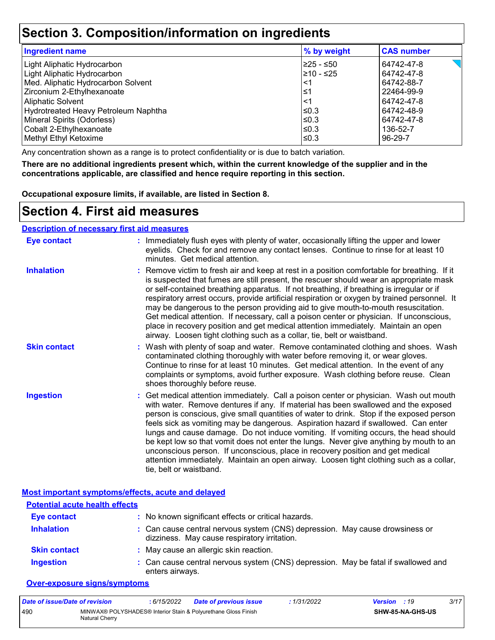### **Section 3. Composition/information on ingredients**

| <b>Ingredient name</b>               | % by weight | <b>CAS number</b> |
|--------------------------------------|-------------|-------------------|
| Light Aliphatic Hydrocarbon          | l≥25 - ≤50  | 64742-47-8        |
| Light Aliphatic Hydrocarbon          | l≥10 - ≤25  | 64742-47-8        |
| Med. Aliphatic Hydrocarbon Solvent   | <1          | 64742-88-7        |
| Zirconium 2-Ethylhexanoate           | ≤1          | 22464-99-9        |
| <b>Aliphatic Solvent</b>             | <1          | 64742-47-8        |
| Hydrotreated Heavy Petroleum Naphtha | ≤0.3        | 64742-48-9        |
| Mineral Spirits (Odorless)           | l≤0.3       | 64742-47-8        |
| Cobalt 2-Ethylhexanoate              | ≤0.3        | 136-52-7          |
| Methyl Ethyl Ketoxime                | ≤0.3        | 96-29-7           |

Any concentration shown as a range is to protect confidentiality or is due to batch variation.

**There are no additional ingredients present which, within the current knowledge of the supplier and in the concentrations applicable, are classified and hence require reporting in this section.**

**Occupational exposure limits, if available, are listed in Section 8.**

### **Section 4. First aid measures**

#### **Description of necessary first aid measures**

| <b>Eye contact</b>  | : Immediately flush eyes with plenty of water, occasionally lifting the upper and lower<br>eyelids. Check for and remove any contact lenses. Continue to rinse for at least 10<br>minutes. Get medical attention.                                                                                                                                                                                                                                                                                                                                                                                                                                                                                                                                       |
|---------------------|---------------------------------------------------------------------------------------------------------------------------------------------------------------------------------------------------------------------------------------------------------------------------------------------------------------------------------------------------------------------------------------------------------------------------------------------------------------------------------------------------------------------------------------------------------------------------------------------------------------------------------------------------------------------------------------------------------------------------------------------------------|
| <b>Inhalation</b>   | : Remove victim to fresh air and keep at rest in a position comfortable for breathing. If it<br>is suspected that fumes are still present, the rescuer should wear an appropriate mask<br>or self-contained breathing apparatus. If not breathing, if breathing is irregular or if<br>respiratory arrest occurs, provide artificial respiration or oxygen by trained personnel. It<br>may be dangerous to the person providing aid to give mouth-to-mouth resuscitation.<br>Get medical attention. If necessary, call a poison center or physician. If unconscious,<br>place in recovery position and get medical attention immediately. Maintain an open<br>airway. Loosen tight clothing such as a collar, tie, belt or waistband.                    |
| <b>Skin contact</b> | : Wash with plenty of soap and water. Remove contaminated clothing and shoes. Wash<br>contaminated clothing thoroughly with water before removing it, or wear gloves.<br>Continue to rinse for at least 10 minutes. Get medical attention. In the event of any<br>complaints or symptoms, avoid further exposure. Wash clothing before reuse. Clean<br>shoes thoroughly before reuse.                                                                                                                                                                                                                                                                                                                                                                   |
| <b>Ingestion</b>    | : Get medical attention immediately. Call a poison center or physician. Wash out mouth<br>with water. Remove dentures if any. If material has been swallowed and the exposed<br>person is conscious, give small quantities of water to drink. Stop if the exposed person<br>feels sick as vomiting may be dangerous. Aspiration hazard if swallowed. Can enter<br>lungs and cause damage. Do not induce vomiting. If vomiting occurs, the head should<br>be kept low so that vomit does not enter the lungs. Never give anything by mouth to an<br>unconscious person. If unconscious, place in recovery position and get medical<br>attention immediately. Maintain an open airway. Loosen tight clothing such as a collar,<br>tie, belt or waistband. |

#### **Most important symptoms/effects, acute and delayed**

| <b>Potential acute health effects</b> |                                                                                                                              |
|---------------------------------------|------------------------------------------------------------------------------------------------------------------------------|
| <b>Eye contact</b>                    | : No known significant effects or critical hazards.                                                                          |
| <b>Inhalation</b>                     | : Can cause central nervous system (CNS) depression. May cause drowsiness or<br>dizziness. May cause respiratory irritation. |
| <b>Skin contact</b>                   | : May cause an allergic skin reaction.                                                                                       |
| <b>Ingestion</b>                      | : Can cause central nervous system (CNS) depression. May be fatal if swallowed and<br>enters airways.                        |

### **Over-exposure signs/symptoms**

| Date of issue/Date of revision |                                                                                         | : 6/15/2022 | <b>Date of previous issue</b> | : 1/31/2022 | <b>Version</b> : 19 |                         | 3/17 |
|--------------------------------|-----------------------------------------------------------------------------------------|-------------|-------------------------------|-------------|---------------------|-------------------------|------|
| 490                            | MINWAX® POLYSHADES® Interior Stain & Polyurethane Gloss Finish<br><b>Natural Cherry</b> |             |                               |             |                     | <b>SHW-85-NA-GHS-US</b> |      |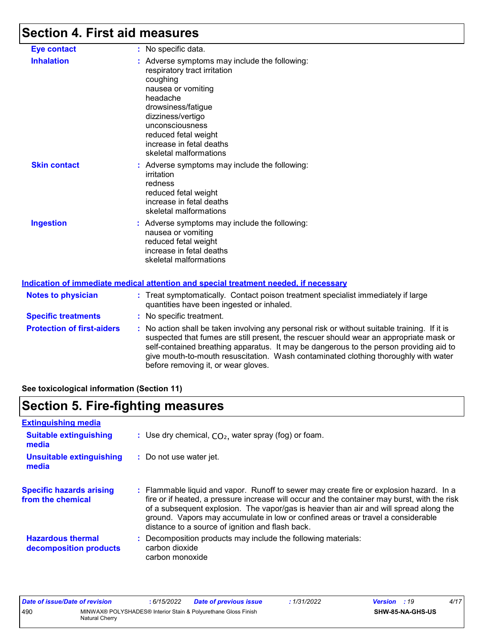## **Section 4. First aid measures**

| <b>Eye contact</b>                | : No specific data.                                                                                                                                                                                                                                                                                                                                                                                             |
|-----------------------------------|-----------------------------------------------------------------------------------------------------------------------------------------------------------------------------------------------------------------------------------------------------------------------------------------------------------------------------------------------------------------------------------------------------------------|
| <b>Inhalation</b>                 | : Adverse symptoms may include the following:<br>respiratory tract irritation<br>coughing<br>nausea or vomiting<br>headache<br>drowsiness/fatigue<br>dizziness/vertigo<br>unconsciousness<br>reduced fetal weight<br>increase in fetal deaths<br>skeletal malformations                                                                                                                                         |
| <b>Skin contact</b>               | Adverse symptoms may include the following:<br>irritation<br>redness<br>reduced fetal weight<br>increase in fetal deaths<br>skeletal malformations                                                                                                                                                                                                                                                              |
| <b>Ingestion</b>                  | : Adverse symptoms may include the following:<br>nausea or vomiting<br>reduced fetal weight<br>increase in fetal deaths<br>skeletal malformations<br>Indication of immediate medical attention and special treatment needed, if necessary                                                                                                                                                                       |
| <b>Notes to physician</b>         | : Treat symptomatically. Contact poison treatment specialist immediately if large<br>quantities have been ingested or inhaled.                                                                                                                                                                                                                                                                                  |
| <b>Specific treatments</b>        | No specific treatment.                                                                                                                                                                                                                                                                                                                                                                                          |
| <b>Protection of first-aiders</b> | : No action shall be taken involving any personal risk or without suitable training. If it is<br>suspected that fumes are still present, the rescuer should wear an appropriate mask or<br>self-contained breathing apparatus. It may be dangerous to the person providing aid to<br>give mouth-to-mouth resuscitation. Wash contaminated clothing thoroughly with water<br>before removing it, or wear gloves. |

**See toxicological information (Section 11)**

## **Section 5. Fire-fighting measures**

| <b>Extinguishing media</b>                           |                                                                                                                                                                                                                                                                                                                                                                                                                          |
|------------------------------------------------------|--------------------------------------------------------------------------------------------------------------------------------------------------------------------------------------------------------------------------------------------------------------------------------------------------------------------------------------------------------------------------------------------------------------------------|
| <b>Suitable extinguishing</b><br>media               | : Use dry chemical, $CO2$ , water spray (fog) or foam.                                                                                                                                                                                                                                                                                                                                                                   |
| Unsuitable extinguishing<br>media                    | : Do not use water jet.                                                                                                                                                                                                                                                                                                                                                                                                  |
| <b>Specific hazards arising</b><br>from the chemical | : Flammable liquid and vapor. Runoff to sewer may create fire or explosion hazard. In a<br>fire or if heated, a pressure increase will occur and the container may burst, with the risk<br>of a subsequent explosion. The vapor/gas is heavier than air and will spread along the<br>ground. Vapors may accumulate in low or confined areas or travel a considerable<br>distance to a source of ignition and flash back. |
| <b>Hazardous thermal</b><br>decomposition products   | : Decomposition products may include the following materials:<br>carbon dioxide<br>carbon monoxide                                                                                                                                                                                                                                                                                                                       |

| Date of issue/Date of revision |                | 6/15/2022 | <b>Date of previous issue</b>                                  | : 1/31/2022 | <b>Version</b> : 19 |                  | 4/17 |
|--------------------------------|----------------|-----------|----------------------------------------------------------------|-------------|---------------------|------------------|------|
| 490                            | Natural Cherry |           | MINWAX® POLYSHADES® Interior Stain & Polyurethane Gloss Finish |             |                     | SHW-85-NA-GHS-US |      |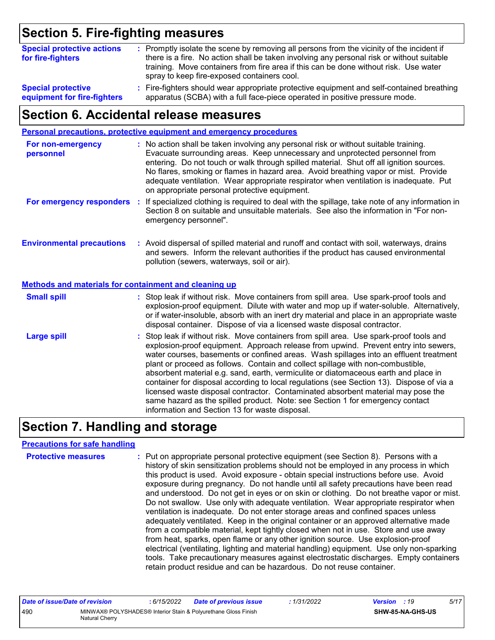## **Section 5. Fire-fighting measures**

| <b>Special protective actions</b><br>for fire-fighters | : Promptly isolate the scene by removing all persons from the vicinity of the incident if<br>there is a fire. No action shall be taken involving any personal risk or without suitable<br>training. Move containers from fire area if this can be done without risk. Use water<br>spray to keep fire-exposed containers cool. |
|--------------------------------------------------------|-------------------------------------------------------------------------------------------------------------------------------------------------------------------------------------------------------------------------------------------------------------------------------------------------------------------------------|
| <b>Special protective</b>                              | : Fire-fighters should wear appropriate protective equipment and self-contained breathing                                                                                                                                                                                                                                     |
| equipment for fire-fighters                            | apparatus (SCBA) with a full face-piece operated in positive pressure mode.                                                                                                                                                                                                                                                   |

### **Section 6. Accidental release measures**

|                                                       | Personal precautions, protective equipment and emergency procedures                                                                                                                                                                                                                                                                                                                                                                                                                                                                                                                                                                                                                                                                                                  |
|-------------------------------------------------------|----------------------------------------------------------------------------------------------------------------------------------------------------------------------------------------------------------------------------------------------------------------------------------------------------------------------------------------------------------------------------------------------------------------------------------------------------------------------------------------------------------------------------------------------------------------------------------------------------------------------------------------------------------------------------------------------------------------------------------------------------------------------|
| For non-emergency<br>personnel                        | : No action shall be taken involving any personal risk or without suitable training.<br>Evacuate surrounding areas. Keep unnecessary and unprotected personnel from<br>entering. Do not touch or walk through spilled material. Shut off all ignition sources.<br>No flares, smoking or flames in hazard area. Avoid breathing vapor or mist. Provide<br>adequate ventilation. Wear appropriate respirator when ventilation is inadequate. Put<br>on appropriate personal protective equipment.                                                                                                                                                                                                                                                                      |
| For emergency responders :                            | If specialized clothing is required to deal with the spillage, take note of any information in<br>Section 8 on suitable and unsuitable materials. See also the information in "For non-<br>emergency personnel".                                                                                                                                                                                                                                                                                                                                                                                                                                                                                                                                                     |
| <b>Environmental precautions</b>                      | : Avoid dispersal of spilled material and runoff and contact with soil, waterways, drains<br>and sewers. Inform the relevant authorities if the product has caused environmental<br>pollution (sewers, waterways, soil or air).                                                                                                                                                                                                                                                                                                                                                                                                                                                                                                                                      |
| Methods and materials for containment and cleaning up |                                                                                                                                                                                                                                                                                                                                                                                                                                                                                                                                                                                                                                                                                                                                                                      |
| <b>Small spill</b>                                    | : Stop leak if without risk. Move containers from spill area. Use spark-proof tools and<br>explosion-proof equipment. Dilute with water and mop up if water-soluble. Alternatively,<br>or if water-insoluble, absorb with an inert dry material and place in an appropriate waste<br>disposal container. Dispose of via a licensed waste disposal contractor.                                                                                                                                                                                                                                                                                                                                                                                                        |
| <b>Large spill</b>                                    | : Stop leak if without risk. Move containers from spill area. Use spark-proof tools and<br>explosion-proof equipment. Approach release from upwind. Prevent entry into sewers,<br>water courses, basements or confined areas. Wash spillages into an effluent treatment<br>plant or proceed as follows. Contain and collect spillage with non-combustible,<br>absorbent material e.g. sand, earth, vermiculite or diatomaceous earth and place in<br>container for disposal according to local regulations (see Section 13). Dispose of via a<br>licensed waste disposal contractor. Contaminated absorbent material may pose the<br>same hazard as the spilled product. Note: see Section 1 for emergency contact<br>information and Section 13 for waste disposal. |

## **Section 7. Handling and storage**

#### **Precautions for safe handling**

| <b>Protective measures</b> | : Put on appropriate personal protective equipment (see Section 8). Persons with a<br>history of skin sensitization problems should not be employed in any process in which<br>this product is used. Avoid exposure - obtain special instructions before use. Avoid<br>exposure during pregnancy. Do not handle until all safety precautions have been read<br>and understood. Do not get in eyes or on skin or clothing. Do not breathe vapor or mist.<br>Do not swallow. Use only with adequate ventilation. Wear appropriate respirator when<br>ventilation is inadequate. Do not enter storage areas and confined spaces unless<br>adequately ventilated. Keep in the original container or an approved alternative made<br>from a compatible material, kept tightly closed when not in use. Store and use away<br>from heat, sparks, open flame or any other ignition source. Use explosion-proof<br>electrical (ventilating, lighting and material handling) equipment. Use only non-sparking<br>tools. Take precautionary measures against electrostatic discharges. Empty containers |
|----------------------------|----------------------------------------------------------------------------------------------------------------------------------------------------------------------------------------------------------------------------------------------------------------------------------------------------------------------------------------------------------------------------------------------------------------------------------------------------------------------------------------------------------------------------------------------------------------------------------------------------------------------------------------------------------------------------------------------------------------------------------------------------------------------------------------------------------------------------------------------------------------------------------------------------------------------------------------------------------------------------------------------------------------------------------------------------------------------------------------------|
|                            | retain product residue and can be hazardous. Do not reuse container.                                                                                                                                                                                                                                                                                                                                                                                                                                                                                                                                                                                                                                                                                                                                                                                                                                                                                                                                                                                                                         |

| Date of issue/Date of revision |                                                                                  | : 6/15/2022 | <b>Date of previous issue</b> | : 1/31/2022 | <b>Version</b> : 19 |                         | 5/17 |
|--------------------------------|----------------------------------------------------------------------------------|-------------|-------------------------------|-------------|---------------------|-------------------------|------|
| 490                            | MINWAX® POLYSHADES® Interior Stain & Polyurethane Gloss Finish<br>Natural Cherry |             |                               |             |                     | <b>SHW-85-NA-GHS-US</b> |      |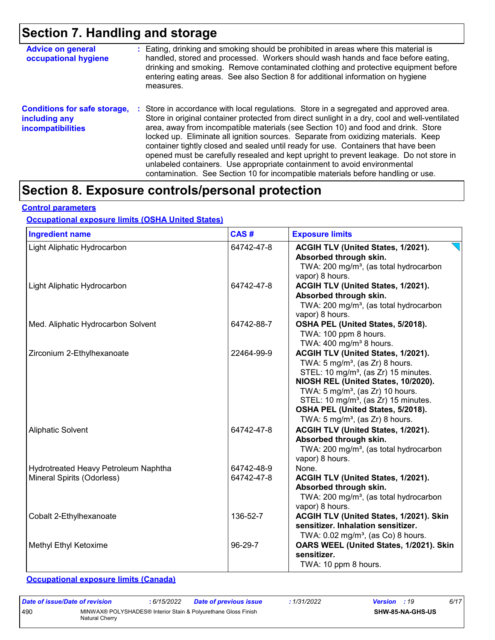## **Section 7. Handling and storage**

| <b>Advice on general</b><br>occupational hygiene                                 | : Eating, drinking and smoking should be prohibited in areas where this material is<br>handled, stored and processed. Workers should wash hands and face before eating,<br>drinking and smoking. Remove contaminated clothing and protective equipment before<br>entering eating areas. See also Section 8 for additional information on hygiene<br>measures.                                                                                                                                                                                                                                                                                                                                                      |
|----------------------------------------------------------------------------------|--------------------------------------------------------------------------------------------------------------------------------------------------------------------------------------------------------------------------------------------------------------------------------------------------------------------------------------------------------------------------------------------------------------------------------------------------------------------------------------------------------------------------------------------------------------------------------------------------------------------------------------------------------------------------------------------------------------------|
| <b>Conditions for safe storage,</b><br>including any<br><b>incompatibilities</b> | : Store in accordance with local regulations. Store in a segregated and approved area.<br>Store in original container protected from direct sunlight in a dry, cool and well-ventilated<br>area, away from incompatible materials (see Section 10) and food and drink. Store<br>locked up. Eliminate all ignition sources. Separate from oxidizing materials. Keep<br>container tightly closed and sealed until ready for use. Containers that have been<br>opened must be carefully resealed and kept upright to prevent leakage. Do not store in<br>unlabeled containers. Use appropriate containment to avoid environmental<br>contamination. See Section 10 for incompatible materials before handling or use. |

### **Section 8. Exposure controls/personal protection**

#### **Control parameters**

### **Occupational exposure limits (OSHA United States)**

| <b>Ingredient name</b>                                             | CAS#                     | <b>Exposure limits</b>                                                                                                                                                                                                                                                                                                                                            |
|--------------------------------------------------------------------|--------------------------|-------------------------------------------------------------------------------------------------------------------------------------------------------------------------------------------------------------------------------------------------------------------------------------------------------------------------------------------------------------------|
| Light Aliphatic Hydrocarbon                                        | 64742-47-8               | ACGIH TLV (United States, 1/2021).<br>Absorbed through skin.<br>TWA: 200 mg/m <sup>3</sup> , (as total hydrocarbon<br>vapor) 8 hours.                                                                                                                                                                                                                             |
| Light Aliphatic Hydrocarbon                                        | 64742-47-8               | ACGIH TLV (United States, 1/2021).<br>Absorbed through skin.<br>TWA: 200 mg/m <sup>3</sup> , (as total hydrocarbon<br>vapor) 8 hours.                                                                                                                                                                                                                             |
| Med. Aliphatic Hydrocarbon Solvent                                 | 64742-88-7               | OSHA PEL (United States, 5/2018).<br>TWA: 100 ppm 8 hours.<br>TWA: $400 \text{ mg/m}^3$ 8 hours.                                                                                                                                                                                                                                                                  |
| Zirconium 2-Ethylhexanoate                                         | 22464-99-9               | ACGIH TLV (United States, 1/2021).<br>TWA: $5 \text{ mg/m}^3$ , (as Zr) 8 hours.<br>STEL: 10 mg/m <sup>3</sup> , (as Zr) 15 minutes.<br>NIOSH REL (United States, 10/2020).<br>TWA: $5 \text{ mg/m}^3$ , (as Zr) 10 hours.<br>STEL: 10 mg/m <sup>3</sup> , (as Zr) 15 minutes.<br>OSHA PEL (United States, 5/2018).<br>TWA: $5 \text{ mg/m}^3$ , (as Zr) 8 hours. |
| <b>Aliphatic Solvent</b>                                           | 64742-47-8               | ACGIH TLV (United States, 1/2021).<br>Absorbed through skin.<br>TWA: 200 mg/m <sup>3</sup> , (as total hydrocarbon<br>vapor) 8 hours.                                                                                                                                                                                                                             |
| Hydrotreated Heavy Petroleum Naphtha<br>Mineral Spirits (Odorless) | 64742-48-9<br>64742-47-8 | None.<br>ACGIH TLV (United States, 1/2021).<br>Absorbed through skin.<br>TWA: 200 mg/m <sup>3</sup> , (as total hydrocarbon<br>vapor) 8 hours.                                                                                                                                                                                                                    |
| Cobalt 2-Ethylhexanoate                                            | 136-52-7                 | ACGIH TLV (United States, 1/2021). Skin<br>sensitizer. Inhalation sensitizer.<br>TWA: $0.02$ mg/m <sup>3</sup> , (as Co) 8 hours.                                                                                                                                                                                                                                 |
| Methyl Ethyl Ketoxime                                              | 96-29-7                  | OARS WEEL (United States, 1/2021). Skin<br>sensitizer.<br>TWA: 10 ppm 8 hours.                                                                                                                                                                                                                                                                                    |

### **Occupational exposure limits (Canada)**

| Date of issue/Date of revision |                                                                                  | : 6/15/2022 | <b>Date of previous issue</b> | : 1/31/2022 | <b>Version</b> : 19 |                         | 6/17 |
|--------------------------------|----------------------------------------------------------------------------------|-------------|-------------------------------|-------------|---------------------|-------------------------|------|
| 490                            | MINWAX® POLYSHADES® Interior Stain & Polyurethane Gloss Finish<br>Natural Cherry |             |                               |             |                     | <b>SHW-85-NA-GHS-US</b> |      |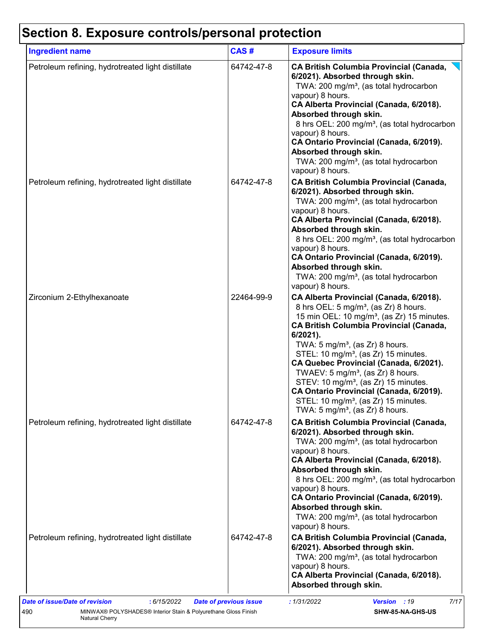## **Section 8. Exposure controls/personal protection**

| <b>Ingredient name</b>                            | CAS#       | <b>Exposure limits</b>                                                                                                                                                                                                                                                                                                                                                                                                                                                                                                                                                                                             |
|---------------------------------------------------|------------|--------------------------------------------------------------------------------------------------------------------------------------------------------------------------------------------------------------------------------------------------------------------------------------------------------------------------------------------------------------------------------------------------------------------------------------------------------------------------------------------------------------------------------------------------------------------------------------------------------------------|
| Petroleum refining, hydrotreated light distillate | 64742-47-8 | <b>CA British Columbia Provincial (Canada,</b><br>6/2021). Absorbed through skin.<br>TWA: 200 mg/m <sup>3</sup> , (as total hydrocarbon<br>vapour) 8 hours.<br>CA Alberta Provincial (Canada, 6/2018).<br>Absorbed through skin.<br>8 hrs OEL: 200 mg/m <sup>3</sup> , (as total hydrocarbon<br>vapour) 8 hours.<br>CA Ontario Provincial (Canada, 6/2019).<br>Absorbed through skin.<br>TWA: 200 mg/m <sup>3</sup> , (as total hydrocarbon<br>vapour) 8 hours.                                                                                                                                                    |
| Petroleum refining, hydrotreated light distillate | 64742-47-8 | <b>CA British Columbia Provincial (Canada,</b><br>6/2021). Absorbed through skin.<br>TWA: 200 mg/m <sup>3</sup> , (as total hydrocarbon<br>vapour) 8 hours.<br>CA Alberta Provincial (Canada, 6/2018).<br>Absorbed through skin.<br>8 hrs OEL: 200 mg/m <sup>3</sup> , (as total hydrocarbon<br>vapour) 8 hours.<br>CA Ontario Provincial (Canada, 6/2019).<br>Absorbed through skin.<br>TWA: 200 mg/m <sup>3</sup> , (as total hydrocarbon<br>vapour) 8 hours.                                                                                                                                                    |
| Zirconium 2-Ethylhexanoate                        | 22464-99-9 | CA Alberta Provincial (Canada, 6/2018).<br>8 hrs OEL: 5 mg/m <sup>3</sup> , (as Zr) 8 hours.<br>15 min OEL: 10 mg/m <sup>3</sup> , (as Zr) 15 minutes.<br><b>CA British Columbia Provincial (Canada,</b><br>6/2021).<br>TWA: $5 \text{ mg/m}^3$ , (as Zr) 8 hours.<br>STEL: 10 mg/m <sup>3</sup> , (as Zr) 15 minutes.<br>CA Quebec Provincial (Canada, 6/2021).<br>TWAEV: 5 mg/m <sup>3</sup> , (as Zr) 8 hours.<br>STEV: 10 mg/m <sup>3</sup> , (as Zr) 15 minutes.<br>CA Ontario Provincial (Canada, 6/2019).<br>STEL: 10 mg/m <sup>3</sup> , (as Zr) 15 minutes.<br>TWA: $5 \text{ mg/m}^3$ , (as Zr) 8 hours. |
| Petroleum refining, hydrotreated light distillate | 64742-47-8 | <b>CA British Columbia Provincial (Canada,</b><br>6/2021). Absorbed through skin.<br>TWA: 200 mg/m <sup>3</sup> , (as total hydrocarbon<br>vapour) 8 hours.<br>CA Alberta Provincial (Canada, 6/2018).<br>Absorbed through skin.<br>8 hrs OEL: 200 mg/m <sup>3</sup> , (as total hydrocarbon<br>vapour) 8 hours.<br>CA Ontario Provincial (Canada, 6/2019).<br>Absorbed through skin.<br>TWA: 200 mg/m <sup>3</sup> , (as total hydrocarbon<br>vapour) 8 hours.                                                                                                                                                    |
| Petroleum refining, hydrotreated light distillate | 64742-47-8 | <b>CA British Columbia Provincial (Canada,</b><br>6/2021). Absorbed through skin.<br>TWA: 200 mg/m <sup>3</sup> , (as total hydrocarbon<br>vapour) 8 hours.<br>CA Alberta Provincial (Canada, 6/2018).<br>Absorbed through skin.                                                                                                                                                                                                                                                                                                                                                                                   |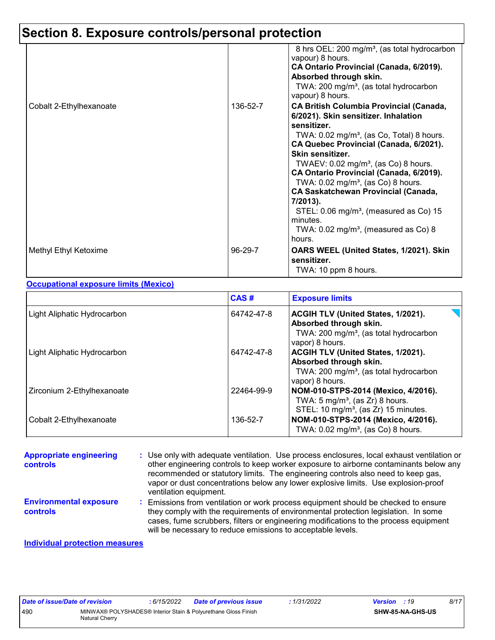### **Section 8. Exposure controls/personal protection**

|                         |          | 8 hrs OEL: 200 mg/m <sup>3</sup> , (as total hydrocarbon<br>vapour) 8 hours.<br>CA Ontario Provincial (Canada, 6/2019).<br>Absorbed through skin.<br>TWA: 200 mg/m <sup>3</sup> , (as total hydrocarbon<br>vapour) 8 hours.                                                                                                                                                                                                                                                                                                                                           |
|-------------------------|----------|-----------------------------------------------------------------------------------------------------------------------------------------------------------------------------------------------------------------------------------------------------------------------------------------------------------------------------------------------------------------------------------------------------------------------------------------------------------------------------------------------------------------------------------------------------------------------|
| Cobalt 2-Ethylhexanoate | 136-52-7 | <b>CA British Columbia Provincial (Canada,</b><br>6/2021). Skin sensitizer. Inhalation<br>sensitizer.<br>TWA: $0.02 \text{ mg/m}^3$ , (as Co, Total) 8 hours.<br>CA Quebec Provincial (Canada, 6/2021).<br>Skin sensitizer.<br>TWAEV: $0.02 \text{ mg/m}^3$ , (as Co) 8 hours.<br>CA Ontario Provincial (Canada, 6/2019).<br>TWA: $0.02$ mg/m <sup>3</sup> , (as Co) 8 hours.<br><b>CA Saskatchewan Provincial (Canada,</b><br>7/2013).<br>STEL: $0.06 \text{ mg/m}^3$ , (measured as Co) 15<br>minutes.<br>TWA: $0.02 \text{ mg/m}^3$ , (measured as Co) 8<br>hours. |
| Methyl Ethyl Ketoxime   | 96-29-7  | OARS WEEL (United States, 1/2021). Skin<br>sensitizer.<br>TWA: 10 ppm 8 hours.                                                                                                                                                                                                                                                                                                                                                                                                                                                                                        |

#### **Occupational exposure limits (Mexico)**

|                             | CAS#       | <b>Exposure limits</b>                                                                                                                |
|-----------------------------|------------|---------------------------------------------------------------------------------------------------------------------------------------|
| Light Aliphatic Hydrocarbon | 64742-47-8 | ACGIH TLV (United States, 1/2021).<br>Absorbed through skin.<br>TWA: 200 mg/m <sup>3</sup> , (as total hydrocarbon<br>vapor) 8 hours. |
| Light Aliphatic Hydrocarbon | 64742-47-8 | ACGIH TLV (United States, 1/2021).<br>Absorbed through skin.<br>TWA: 200 mg/m <sup>3</sup> , (as total hydrocarbon<br>vapor) 8 hours. |
| Zirconium 2-Ethylhexanoate  | 22464-99-9 | NOM-010-STPS-2014 (Mexico, 4/2016).<br>TWA: $5 \text{ mg/m}^3$ , (as Zr) 8 hours.<br>STEL: 10 mg/m <sup>3</sup> , (as Zr) 15 minutes. |
| Cobalt 2-Ethylhexanoate     | 136-52-7   | NOM-010-STPS-2014 (Mexico, 4/2016).<br>TWA: $0.02$ mg/m <sup>3</sup> , (as Co) 8 hours.                                               |

Emissions from ventilation or work process equipment should be checked to ensure **:** they comply with the requirements of environmental protection legislation. In some cases, fume scrubbers, filters or engineering modifications to the process equipment will be necessary to reduce emissions to acceptable levels. **Appropriate engineering controls :** Use only with adequate ventilation. Use process enclosures, local exhaust ventilation or other engineering controls to keep worker exposure to airborne contaminants below any recommended or statutory limits. The engineering controls also need to keep gas, vapor or dust concentrations below any lower explosive limits. Use explosion-proof ventilation equipment. **Individual protection measures Environmental exposure controls**

| Date of issue/Date of revision |                | : 6/15/2022 | <b>Date of previous issue</b>                                  | : 1/31/2022 | <b>Version</b> : 19 |                  | 8/17 |  |
|--------------------------------|----------------|-------------|----------------------------------------------------------------|-------------|---------------------|------------------|------|--|
| 490                            | Natural Cherry |             | MINWAX® POLYSHADES® Interior Stain & Polyurethane Gloss Finish |             |                     | SHW-85-NA-GHS-US |      |  |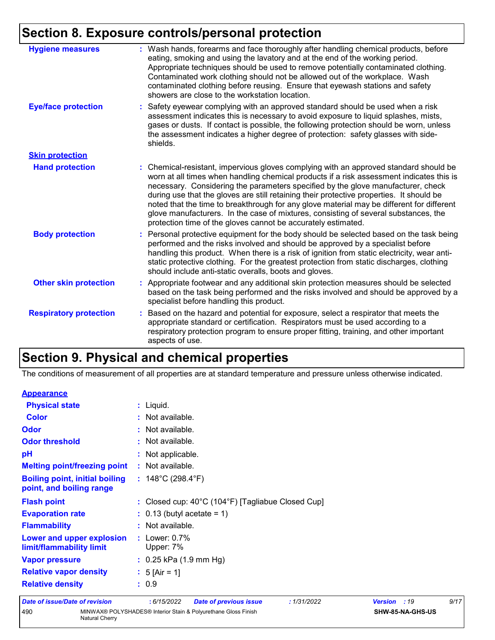## **Section 8. Exposure controls/personal protection**

| <b>Hygiene measures</b>       | : Wash hands, forearms and face thoroughly after handling chemical products, before<br>eating, smoking and using the lavatory and at the end of the working period.<br>Appropriate techniques should be used to remove potentially contaminated clothing.<br>Contaminated work clothing should not be allowed out of the workplace. Wash<br>contaminated clothing before reusing. Ensure that eyewash stations and safety<br>showers are close to the workstation location.                                                                                                                                            |
|-------------------------------|------------------------------------------------------------------------------------------------------------------------------------------------------------------------------------------------------------------------------------------------------------------------------------------------------------------------------------------------------------------------------------------------------------------------------------------------------------------------------------------------------------------------------------------------------------------------------------------------------------------------|
| <b>Eye/face protection</b>    | : Safety eyewear complying with an approved standard should be used when a risk<br>assessment indicates this is necessary to avoid exposure to liquid splashes, mists,<br>gases or dusts. If contact is possible, the following protection should be worn, unless<br>the assessment indicates a higher degree of protection: safety glasses with side-<br>shields.                                                                                                                                                                                                                                                     |
| <b>Skin protection</b>        |                                                                                                                                                                                                                                                                                                                                                                                                                                                                                                                                                                                                                        |
| <b>Hand protection</b>        | : Chemical-resistant, impervious gloves complying with an approved standard should be<br>worn at all times when handling chemical products if a risk assessment indicates this is<br>necessary. Considering the parameters specified by the glove manufacturer, check<br>during use that the gloves are still retaining their protective properties. It should be<br>noted that the time to breakthrough for any glove material may be different for different<br>glove manufacturers. In the case of mixtures, consisting of several substances, the<br>protection time of the gloves cannot be accurately estimated. |
| <b>Body protection</b>        | : Personal protective equipment for the body should be selected based on the task being<br>performed and the risks involved and should be approved by a specialist before<br>handling this product. When there is a risk of ignition from static electricity, wear anti-<br>static protective clothing. For the greatest protection from static discharges, clothing<br>should include anti-static overalls, boots and gloves.                                                                                                                                                                                         |
| <b>Other skin protection</b>  | : Appropriate footwear and any additional skin protection measures should be selected<br>based on the task being performed and the risks involved and should be approved by a<br>specialist before handling this product.                                                                                                                                                                                                                                                                                                                                                                                              |
| <b>Respiratory protection</b> | : Based on the hazard and potential for exposure, select a respirator that meets the<br>appropriate standard or certification. Respirators must be used according to a<br>respiratory protection program to ensure proper fitting, training, and other important<br>aspects of use.                                                                                                                                                                                                                                                                                                                                    |

## **Section 9. Physical and chemical properties**

The conditions of measurement of all properties are at standard temperature and pressure unless otherwise indicated.

| <b>Appearance</b>                                                 |                                                                        |
|-------------------------------------------------------------------|------------------------------------------------------------------------|
| <b>Physical state</b>                                             | : Liquid.                                                              |
| <b>Color</b>                                                      | : Not available.                                                       |
| <b>Odor</b>                                                       | : Not available.                                                       |
| <b>Odor threshold</b>                                             | : Not available.                                                       |
| рH                                                                | : Not applicable.                                                      |
| <b>Melting point/freezing point</b>                               | : Not available.                                                       |
| <b>Boiling point, initial boiling</b><br>point, and boiling range | : $148^{\circ}$ C (298.4 $^{\circ}$ F)                                 |
| <b>Flash point</b>                                                | : Closed cup: $40^{\circ}$ C (104 $^{\circ}$ F) [Tagliabue Closed Cup] |
| <b>Evaporation rate</b>                                           | $\therefore$ 0.13 (butyl acetate = 1)                                  |
| <b>Flammability</b>                                               | : Not available.                                                       |
| Lower and upper explosion<br>limit/flammability limit             | : Lower: $0.7\%$<br>Upper: 7%                                          |
| <b>Vapor pressure</b>                                             | $: 0.25$ kPa (1.9 mm Hg)                                               |
| <b>Relative vapor density</b>                                     | : $5 \text{ [Air = 1]}$                                                |
| <b>Relative density</b>                                           | : 0.9                                                                  |
|                                                                   |                                                                        |

| Date of issue/Date of revision |                | : 6/15/2022 | <b>Date of previous issue</b>                                  | <b>1/31/2022</b> | <b>Version</b> : 19 |                         | 9/17 |  |
|--------------------------------|----------------|-------------|----------------------------------------------------------------|------------------|---------------------|-------------------------|------|--|
| 490                            | Natural Cherry |             | MINWAX® POLYSHADES® Interior Stain & Polyurethane Gloss Finish |                  |                     | <b>SHW-85-NA-GHS-US</b> |      |  |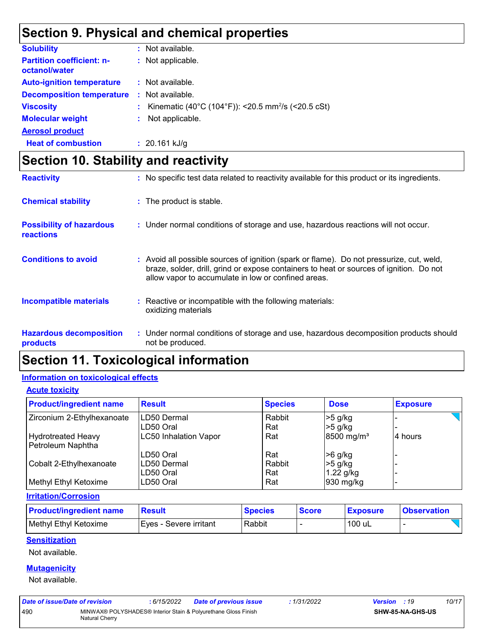## **Section 9. Physical and chemical properties**

| <b>Solubility</b>                                 |          | : Not available.                                                 |
|---------------------------------------------------|----------|------------------------------------------------------------------|
| <b>Partition coefficient: n-</b><br>octanol/water |          | : Not applicable.                                                |
| <b>Auto-ignition temperature</b>                  |          | : Not available.                                                 |
| <b>Decomposition temperature</b>                  | <b>A</b> | Not available.                                                   |
| <b>Viscosity</b>                                  |          | : Kinematic (40°C (104°F)): <20.5 mm <sup>2</sup> /s (<20.5 cSt) |
| <b>Molecular weight</b>                           |          | : Not applicable.                                                |
| <b>Aerosol product</b>                            |          |                                                                  |
| <b>Heat of combustion</b>                         |          | $: 20.161$ kJ/g                                                  |

## **Section 10. Stability and reactivity**

| <b>Reactivity</b>                                   | : No specific test data related to reactivity available for this product or its ingredients.                                                                                                                                               |
|-----------------------------------------------------|--------------------------------------------------------------------------------------------------------------------------------------------------------------------------------------------------------------------------------------------|
| <b>Chemical stability</b>                           | : The product is stable.                                                                                                                                                                                                                   |
| <b>Possibility of hazardous</b><br><b>reactions</b> | : Under normal conditions of storage and use, hazardous reactions will not occur.                                                                                                                                                          |
| <b>Conditions to avoid</b>                          | : Avoid all possible sources of ignition (spark or flame). Do not pressurize, cut, weld,<br>braze, solder, drill, grind or expose containers to heat or sources of ignition. Do not<br>allow vapor to accumulate in low or confined areas. |
| <b>Incompatible materials</b>                       | : Reactive or incompatible with the following materials:<br>oxidizing materials                                                                                                                                                            |
| <b>Hazardous decomposition</b><br>products          | : Under normal conditions of storage and use, hazardous decomposition products should<br>not be produced.                                                                                                                                  |

### **Section 11. Toxicological information**

### **Information on toxicological effects**

### **Acute toxicity**

| <b>Product/ingredient name</b> | <b>Result</b>                | <b>Species</b> | <b>Dose</b>              | <b>Exposure</b> |
|--------------------------------|------------------------------|----------------|--------------------------|-----------------|
| Zirconium 2-Ethylhexanoate     | ILD50 Dermal                 | Rabbit         | $>5$ g/kg                |                 |
|                                | LD50 Oral                    | Rat            | $>5$ g/kg                |                 |
| <b>Hydrotreated Heavy</b>      | <b>LC50 Inhalation Vapor</b> | Rat            | $8500$ mg/m <sup>3</sup> | 4 hours         |
| Petroleum Naphtha              |                              |                |                          |                 |
|                                | LD50 Oral                    | Rat            | >6 g/kg                  |                 |
| Cobalt 2-Ethylhexanoate        | LD50 Dermal                  | Rabbit         | $>5$ g/kg                |                 |
|                                | LD50 Oral                    | Rat            | $1.22$ g/kg              |                 |
| Methyl Ethyl Ketoxime          | ILD50 Oral                   | Rat            | $930$ mg/kg              |                 |

#### **Irritation/Corrosion**

| <b>Product/ingredient name</b> | Result                   | <b>Species</b> | <b>Score</b> | <b>Exposure</b> | <b>Observation</b> |
|--------------------------------|--------------------------|----------------|--------------|-----------------|--------------------|
| Methyl Ethyl Ketoxime          | I Eves - Severe irritant | Rabbit         |              | 100 uL          |                    |

#### **Sensitization**

Not available.

### **Mutagenicity**

Not available.

| Date of issue/Date of revision |                                                                                         | : 6/15/2022 | <b>Date of previous issue</b> | : 1/31/2022 | <b>Version</b> : 19 |                         | 10/17 |
|--------------------------------|-----------------------------------------------------------------------------------------|-------------|-------------------------------|-------------|---------------------|-------------------------|-------|
| 490                            | MINWAX® POLYSHADES® Interior Stain & Polyurethane Gloss Finish<br><b>Natural Cherry</b> |             |                               |             |                     | <b>SHW-85-NA-GHS-US</b> |       |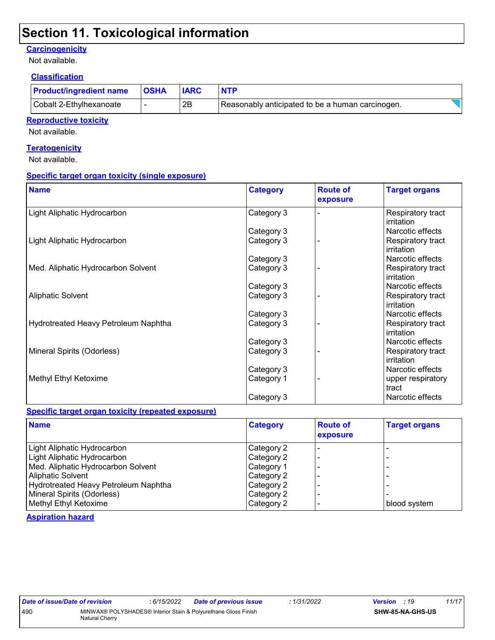### **Section 11. Toxicological information**

### **Carcinogenicity**

Not available.

### **Classification**

| <b>Product/ingredient name   OSHA</b> | <b>IARC</b> | <b>NTP</b>                                       |  |
|---------------------------------------|-------------|--------------------------------------------------|--|
| Cobalt 2-Ethylhexanoate               | 2B          | Reasonably anticipated to be a human carcinogen. |  |

### **Reproductive toxicity**

Not available.

#### **Teratogenicity**

Not available.

#### **Specific target organ toxicity (single exposure)**

| <b>Name</b>                          | <b>Category</b> | <b>Route of</b><br>exposure | <b>Target organs</b>            |
|--------------------------------------|-----------------|-----------------------------|---------------------------------|
| Light Aliphatic Hydrocarbon          | Category 3      |                             | Respiratory tract<br>irritation |
|                                      | Category 3      |                             | Narcotic effects                |
| Light Aliphatic Hydrocarbon          | Category 3      |                             | Respiratory tract<br>irritation |
|                                      | Category 3      |                             | Narcotic effects                |
| Med. Aliphatic Hydrocarbon Solvent   | Category 3      |                             | Respiratory tract<br>irritation |
|                                      | Category 3      |                             | Narcotic effects                |
| <b>Aliphatic Solvent</b>             | Category 3      |                             | Respiratory tract<br>irritation |
|                                      | Category 3      |                             | Narcotic effects                |
| Hydrotreated Heavy Petroleum Naphtha | Category 3      |                             | Respiratory tract<br>irritation |
|                                      | Category 3      |                             | Narcotic effects                |
| Mineral Spirits (Odorless)           | Category 3      |                             | Respiratory tract<br>irritation |
|                                      | Category 3      |                             | Narcotic effects                |
| Methyl Ethyl Ketoxime                | Category 1      |                             | upper respiratory<br>tract      |
|                                      | Category 3      |                             | Narcotic effects                |

#### **Specific target organ toxicity (repeated exposure)**

| <b>Name</b>                          | Category   | <b>Route of</b><br>exposure | <b>Target organs</b> |
|--------------------------------------|------------|-----------------------------|----------------------|
| Light Aliphatic Hydrocarbon          | Category 2 |                             |                      |
| Light Aliphatic Hydrocarbon          | Category 2 |                             |                      |
| Med. Aliphatic Hydrocarbon Solvent   | Category 1 |                             |                      |
| <b>Aliphatic Solvent</b>             | Category 2 |                             |                      |
| Hydrotreated Heavy Petroleum Naphtha | Category 2 |                             |                      |
| Mineral Spirits (Odorless)           | Category 2 |                             |                      |
| Methyl Ethyl Ketoxime                | Category 2 |                             | blood system         |

**Aspiration hazard**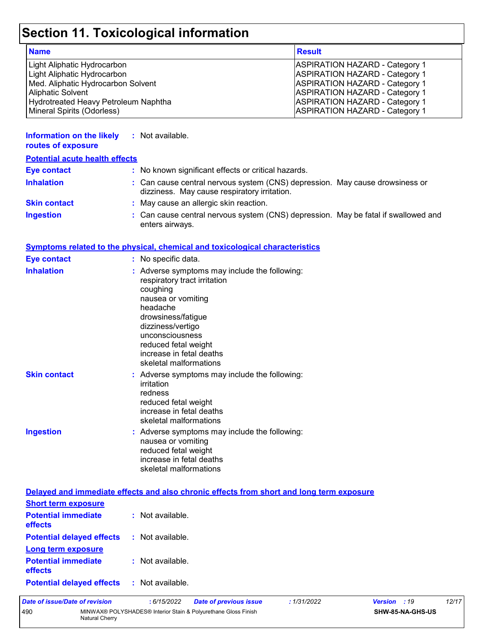## **Section 11. Toxicological information**

| <b>Name</b>                          | <b>Result</b>                         |
|--------------------------------------|---------------------------------------|
| Light Aliphatic Hydrocarbon          | <b>ASPIRATION HAZARD - Category 1</b> |
| Light Aliphatic Hydrocarbon          | <b>ASPIRATION HAZARD - Category 1</b> |
| Med. Aliphatic Hydrocarbon Solvent   | <b>ASPIRATION HAZARD - Category 1</b> |
| <b>Aliphatic Solvent</b>             | <b>ASPIRATION HAZARD - Category 1</b> |
| Hydrotreated Heavy Petroleum Naphtha | <b>ASPIRATION HAZARD - Category 1</b> |
| Mineral Spirits (Odorless)           | <b>ASPIRATION HAZARD - Category 1</b> |

| <b>Information on the likely</b><br>routes of exposure      | : Not available.                                                                                                                                                                                                                                                        |
|-------------------------------------------------------------|-------------------------------------------------------------------------------------------------------------------------------------------------------------------------------------------------------------------------------------------------------------------------|
| <b>Potential acute health effects</b>                       |                                                                                                                                                                                                                                                                         |
| <b>Eye contact</b>                                          | : No known significant effects or critical hazards.                                                                                                                                                                                                                     |
| <b>Inhalation</b>                                           | : Can cause central nervous system (CNS) depression. May cause drowsiness or<br>dizziness. May cause respiratory irritation.                                                                                                                                            |
| <b>Skin contact</b>                                         | : May cause an allergic skin reaction.                                                                                                                                                                                                                                  |
| <b>Ingestion</b>                                            | : Can cause central nervous system (CNS) depression. May be fatal if swallowed and<br>enters airways.                                                                                                                                                                   |
|                                                             | <b>Symptoms related to the physical, chemical and toxicological characteristics</b>                                                                                                                                                                                     |
| <b>Eye contact</b>                                          | : No specific data.                                                                                                                                                                                                                                                     |
| <b>Inhalation</b>                                           | : Adverse symptoms may include the following:<br>respiratory tract irritation<br>coughing<br>nausea or vomiting<br>headache<br>drowsiness/fatigue<br>dizziness/vertigo<br>unconsciousness<br>reduced fetal weight<br>increase in fetal deaths<br>skeletal malformations |
| <b>Skin contact</b>                                         | : Adverse symptoms may include the following:<br>irritation<br>redness<br>reduced fetal weight<br>increase in fetal deaths<br>skeletal malformations                                                                                                                    |
| <b>Ingestion</b>                                            | : Adverse symptoms may include the following:<br>nausea or vomiting<br>reduced fetal weight<br>increase in fetal deaths<br>skeletal malformations                                                                                                                       |
|                                                             | Delayed and immediate effects and also chronic effects from short and long term exposure                                                                                                                                                                                |
| <b>Short term exposure</b>                                  |                                                                                                                                                                                                                                                                         |
| <b>Potential immediate</b><br>effects                       | : Not available.                                                                                                                                                                                                                                                        |
| <b>Potential delayed effects</b>                            | : Not available.                                                                                                                                                                                                                                                        |
| Long term exposure<br><b>Potential immediate</b><br>effects | : Not available.                                                                                                                                                                                                                                                        |
| <b>Potential delayed effects</b>                            | : Not available.                                                                                                                                                                                                                                                        |
| Date of issue/Date of revision                              | $V$ arejon $\cdot$ 10<br>. 6/15/2022<br>Data of provious issue<br>.1/31/2022<br>12/1                                                                                                                                                                                    |

| Date of issue/Date of revision |                | : 6/15/2022 | <b>Date of previous issue</b>                                  | : 1/31/2022 | <b>Version</b> : 19     | 12/17 |
|--------------------------------|----------------|-------------|----------------------------------------------------------------|-------------|-------------------------|-------|
| 490                            | Natural Cherry |             | MINWAX® POLYSHADES® Interior Stain & Polyurethane Gloss Finish |             | <b>SHW-85-NA-GHS-US</b> |       |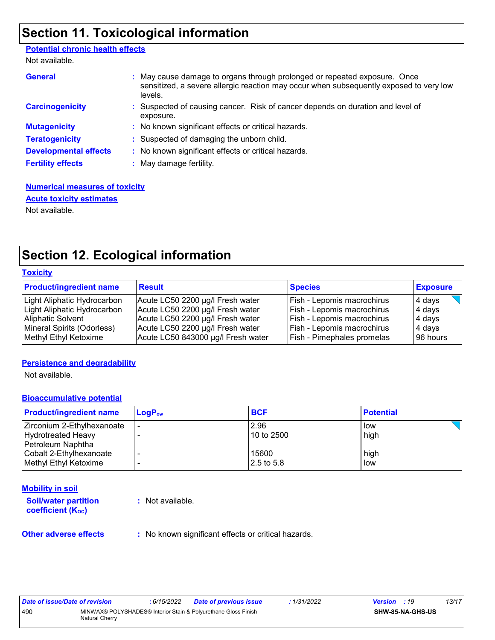### **Section 11. Toxicological information**

### **Potential chronic health effects**

Not available.

| <b>General</b>               | : May cause damage to organs through prolonged or repeated exposure. Once<br>sensitized, a severe allergic reaction may occur when subsequently exposed to very low<br>levels. |
|------------------------------|--------------------------------------------------------------------------------------------------------------------------------------------------------------------------------|
| <b>Carcinogenicity</b>       | : Suspected of causing cancer. Risk of cancer depends on duration and level of<br>exposure.                                                                                    |
| <b>Mutagenicity</b>          | : No known significant effects or critical hazards.                                                                                                                            |
| <b>Teratogenicity</b>        | : Suspected of damaging the unborn child.                                                                                                                                      |
| <b>Developmental effects</b> | : No known significant effects or critical hazards.                                                                                                                            |
| <b>Fertility effects</b>     | : May damage fertility.                                                                                                                                                        |

### **Numerical measures of toxicity Acute toxicity estimates**

Not available.

### **Section 12. Ecological information**

#### **Toxicity**

| <b>Product/ingredient name</b> | <b>Result</b>                      | <b>Species</b>                    | <b>Exposure</b> |
|--------------------------------|------------------------------------|-----------------------------------|-----------------|
| Light Aliphatic Hydrocarbon    | Acute LC50 2200 µg/l Fresh water   | <b>Fish - Lepomis macrochirus</b> | 4 days          |
| Light Aliphatic Hydrocarbon    | Acute LC50 2200 µg/l Fresh water   | <b>Fish - Lepomis macrochirus</b> | 4 days          |
| Aliphatic Solvent              | Acute LC50 2200 µg/l Fresh water   | <b>Fish - Lepomis macrochirus</b> | 4 days          |
| Mineral Spirits (Odorless)     | Acute LC50 2200 µg/l Fresh water   | <b>Fish - Lepomis macrochirus</b> | 4 days          |
| Methyl Ethyl Ketoxime          | Acute LC50 843000 µg/l Fresh water | <b>Fish - Pimephales promelas</b> | 96 hours        |

### **Persistence and degradability**

Not available.

#### **Bioaccumulative potential**

| <b>Product/ingredient name</b> | $LoaPow$ | <b>BCF</b>    | <b>Potential</b> |
|--------------------------------|----------|---------------|------------------|
| Zirconium 2-Ethylhexanoate     |          | 2.96          | low              |
| Hydrotreated Heavy             |          | 10 to 2500    | high             |
| Petroleum Naphtha              |          |               |                  |
| Cobalt 2-Ethylhexanoate        |          | 15600         | high             |
| Methyl Ethyl Ketoxime          |          | $12.5$ to 5.8 | low              |

### **Mobility in soil**

**Soil/water partition coefficient (KOC) :** Not available.

**Other adverse effects** : No known significant effects or critical hazards.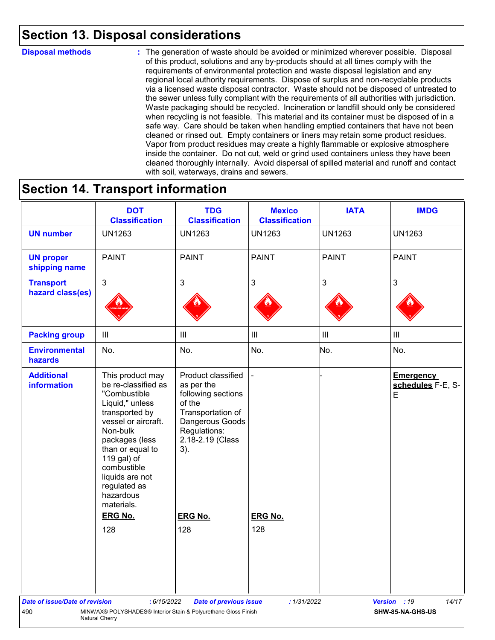### **Section 13. Disposal considerations**

#### **Disposal methods :**

The generation of waste should be avoided or minimized wherever possible. Disposal of this product, solutions and any by-products should at all times comply with the requirements of environmental protection and waste disposal legislation and any regional local authority requirements. Dispose of surplus and non-recyclable products via a licensed waste disposal contractor. Waste should not be disposed of untreated to the sewer unless fully compliant with the requirements of all authorities with jurisdiction. Waste packaging should be recycled. Incineration or landfill should only be considered when recycling is not feasible. This material and its container must be disposed of in a safe way. Care should be taken when handling emptied containers that have not been cleaned or rinsed out. Empty containers or liners may retain some product residues. Vapor from product residues may create a highly flammable or explosive atmosphere inside the container. Do not cut, weld or grind used containers unless they have been cleaned thoroughly internally. Avoid dispersal of spilled material and runoff and contact with soil, waterways, drains and sewers.

### **Section 14. Transport information**

|                                              | <b>DOT</b><br><b>Classification</b>                                                                                                                                                                                                                               | <b>TDG</b><br><b>Classification</b>                                                                                                                 | <b>Mexico</b><br><b>Classification</b> | <b>IATA</b>    | <b>IMDG</b>                                |
|----------------------------------------------|-------------------------------------------------------------------------------------------------------------------------------------------------------------------------------------------------------------------------------------------------------------------|-----------------------------------------------------------------------------------------------------------------------------------------------------|----------------------------------------|----------------|--------------------------------------------|
| <b>UN number</b>                             | <b>UN1263</b>                                                                                                                                                                                                                                                     | <b>UN1263</b>                                                                                                                                       | <b>UN1263</b>                          | <b>UN1263</b>  | <b>UN1263</b>                              |
| <b>UN proper</b><br>shipping name            | <b>PAINT</b>                                                                                                                                                                                                                                                      | <b>PAINT</b>                                                                                                                                        | <b>PAINT</b>                           | <b>PAINT</b>   | <b>PAINT</b>                               |
| <b>Transport</b><br>hazard class(es)         | 3                                                                                                                                                                                                                                                                 | 3                                                                                                                                                   | 3                                      | 3              | 3                                          |
| <b>Packing group</b>                         | $\  \ $                                                                                                                                                                                                                                                           | $\mathbf{III}$                                                                                                                                      | $\mathbf{III}$                         | $\mathbf{III}$ | $\mathbf{III}$                             |
| <b>Environmental</b><br>hazards              | No.                                                                                                                                                                                                                                                               | No.                                                                                                                                                 | No.                                    | No.            | No.                                        |
| <b>Additional</b><br><b>information</b>      | This product may<br>be re-classified as<br>"Combustible<br>Liquid," unless<br>transported by<br>vessel or aircraft.<br>Non-bulk<br>packages (less<br>than or equal to<br>119 gal) of<br>combustible<br>liquids are not<br>regulated as<br>hazardous<br>materials. | Product classified<br>as per the<br>following sections<br>of the<br>Transportation of<br>Dangerous Goods<br>Regulations:<br>2.18-2.19 (Class<br>3). |                                        |                | <b>Emergency</b><br>schedules F-E, S-<br>E |
|                                              | <b>ERG No.</b>                                                                                                                                                                                                                                                    | <b>ERG No.</b>                                                                                                                                      | <b>ERG No.</b>                         |                |                                            |
|                                              | 128                                                                                                                                                                                                                                                               | 128                                                                                                                                                 | 128                                    |                |                                            |
| <b>Date of issue/Date of revision</b><br>490 | : 6/15/2022<br>MINWAX® POLYSHADES® Interior Stain & Polyurethane Gloss Finish<br>Natural Cherry                                                                                                                                                                   | <b>Date of previous issue</b>                                                                                                                       | : 1/31/2022                            |                | 14/17<br>Version : 19<br>SHW-85-NA-GHS-US  |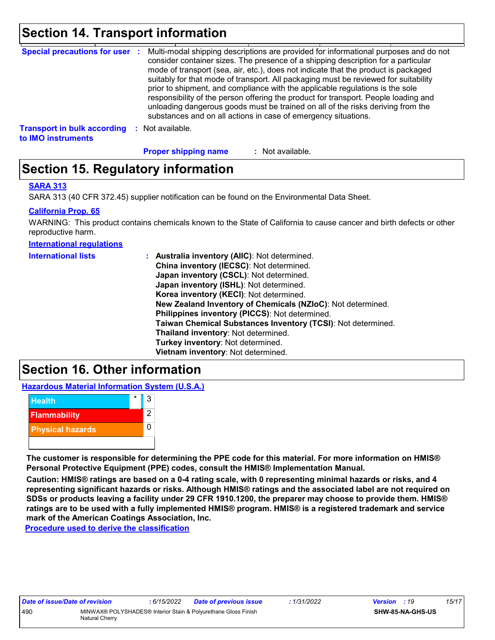### **Section 14. Transport information**

| <b>Special precautions for user :</b>                    | Multi-modal shipping descriptions are provided for informational purposes and do not<br>consider container sizes. The presence of a shipping description for a particular<br>mode of transport (sea, air, etc.), does not indicate that the product is packaged<br>suitably for that mode of transport. All packaging must be reviewed for suitability<br>prior to shipment, and compliance with the applicable regulations is the sole<br>responsibility of the person offering the product for transport. People loading and<br>unloading dangerous goods must be trained on all of the risks deriving from the<br>substances and on all actions in case of emergency situations. |
|----------------------------------------------------------|-------------------------------------------------------------------------------------------------------------------------------------------------------------------------------------------------------------------------------------------------------------------------------------------------------------------------------------------------------------------------------------------------------------------------------------------------------------------------------------------------------------------------------------------------------------------------------------------------------------------------------------------------------------------------------------|
| <b>Transport in bulk according</b><br>to IMO instruments | : Not available.                                                                                                                                                                                                                                                                                                                                                                                                                                                                                                                                                                                                                                                                    |

: Not available. **Proper shipping name :**

### **Section 15. Regulatory information**

### **SARA 313**

SARA 313 (40 CFR 372.45) supplier notification can be found on the Environmental Data Sheet.

### **California Prop. 65**

WARNING: This product contains chemicals known to the State of California to cause cancer and birth defects or other reproductive harm.

**International regulations**

| <b>International lists</b> | : Australia inventory (AIIC): Not determined.                |
|----------------------------|--------------------------------------------------------------|
|                            | China inventory (IECSC): Not determined.                     |
|                            | Japan inventory (CSCL): Not determined.                      |
|                            | Japan inventory (ISHL): Not determined.                      |
|                            | Korea inventory (KECI): Not determined.                      |
|                            | New Zealand Inventory of Chemicals (NZIoC): Not determined.  |
|                            | Philippines inventory (PICCS): Not determined.               |
|                            | Taiwan Chemical Substances Inventory (TCSI): Not determined. |
|                            | Thailand inventory: Not determined.                          |
|                            | Turkey inventory: Not determined.                            |
|                            | Vietnam inventory: Not determined.                           |

### **Section 16. Other information**

**Hazardous Material Information System (U.S.A.)**



**The customer is responsible for determining the PPE code for this material. For more information on HMIS® Personal Protective Equipment (PPE) codes, consult the HMIS® Implementation Manual.**

**Caution: HMIS® ratings are based on a 0-4 rating scale, with 0 representing minimal hazards or risks, and 4 representing significant hazards or risks. Although HMIS® ratings and the associated label are not required on SDSs or products leaving a facility under 29 CFR 1910.1200, the preparer may choose to provide them. HMIS® ratings are to be used with a fully implemented HMIS® program. HMIS® is a registered trademark and service mark of the American Coatings Association, Inc.**

**Procedure used to derive the classification**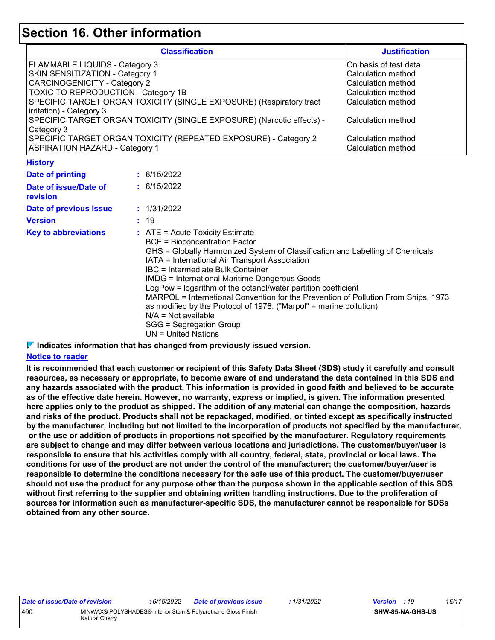### **Section 16. Other information**

| <b>Classification</b>                                                                                    | <b>Justification</b>                       |
|----------------------------------------------------------------------------------------------------------|--------------------------------------------|
| <b>FLAMMABLE LIQUIDS - Category 3</b>                                                                    | On basis of test data                      |
| <b>SKIN SENSITIZATION - Category 1</b>                                                                   | <b>Calculation method</b>                  |
| <b>CARCINOGENICITY - Category 2</b>                                                                      | Calculation method                         |
| TOXIC TO REPRODUCTION - Category 1B                                                                      | Calculation method                         |
| SPECIFIC TARGET ORGAN TOXICITY (SINGLE EXPOSURE) (Respiratory tract<br>irritation) - Category 3          | Calculation method                         |
| SPECIFIC TARGET ORGAN TOXICITY (SINGLE EXPOSURE) (Narcotic effects) -<br>Category 3                      | Calculation method                         |
| SPECIFIC TARGET ORGAN TOXICITY (REPEATED EXPOSURE) - Category 2<br><b>ASPIRATION HAZARD - Category 1</b> | l Calculation method<br>Calculation method |

#### **History**

| Date of printing                  | $\div$ 6/15/2022                                                                                                                                                                                                                                                                                                                                                                                                                                                                                                                                                                                               |
|-----------------------------------|----------------------------------------------------------------------------------------------------------------------------------------------------------------------------------------------------------------------------------------------------------------------------------------------------------------------------------------------------------------------------------------------------------------------------------------------------------------------------------------------------------------------------------------------------------------------------------------------------------------|
| Date of issue/Date of<br>revision | : 6/15/2022                                                                                                                                                                                                                                                                                                                                                                                                                                                                                                                                                                                                    |
| Date of previous issue            | : 1/31/2022                                                                                                                                                                                                                                                                                                                                                                                                                                                                                                                                                                                                    |
| Version                           | : 19                                                                                                                                                                                                                                                                                                                                                                                                                                                                                                                                                                                                           |
| <b>Key to abbreviations</b>       | $\therefore$ ATE = Acute Toxicity Estimate<br>BCF = Bioconcentration Factor<br>GHS = Globally Harmonized System of Classification and Labelling of Chemicals<br>IATA = International Air Transport Association<br>IBC = Intermediate Bulk Container<br>IMDG = International Maritime Dangerous Goods<br>LogPow = logarithm of the octanol/water partition coefficient<br>MARPOL = International Convention for the Prevention of Pollution From Ships, 1973<br>as modified by the Protocol of 1978. ("Marpol" = marine pollution)<br>$N/A = Not available$<br>SGG = Segregation Group<br>$UN = United Nations$ |

**Indicates information that has changed from previously issued version.**

### **Notice to reader**

**It is recommended that each customer or recipient of this Safety Data Sheet (SDS) study it carefully and consult resources, as necessary or appropriate, to become aware of and understand the data contained in this SDS and any hazards associated with the product. This information is provided in good faith and believed to be accurate as of the effective date herein. However, no warranty, express or implied, is given. The information presented here applies only to the product as shipped. The addition of any material can change the composition, hazards and risks of the product. Products shall not be repackaged, modified, or tinted except as specifically instructed by the manufacturer, including but not limited to the incorporation of products not specified by the manufacturer, or the use or addition of products in proportions not specified by the manufacturer. Regulatory requirements are subject to change and may differ between various locations and jurisdictions. The customer/buyer/user is responsible to ensure that his activities comply with all country, federal, state, provincial or local laws. The conditions for use of the product are not under the control of the manufacturer; the customer/buyer/user is responsible to determine the conditions necessary for the safe use of this product. The customer/buyer/user should not use the product for any purpose other than the purpose shown in the applicable section of this SDS without first referring to the supplier and obtaining written handling instructions. Due to the proliferation of sources for information such as manufacturer-specific SDS, the manufacturer cannot be responsible for SDSs obtained from any other source.**